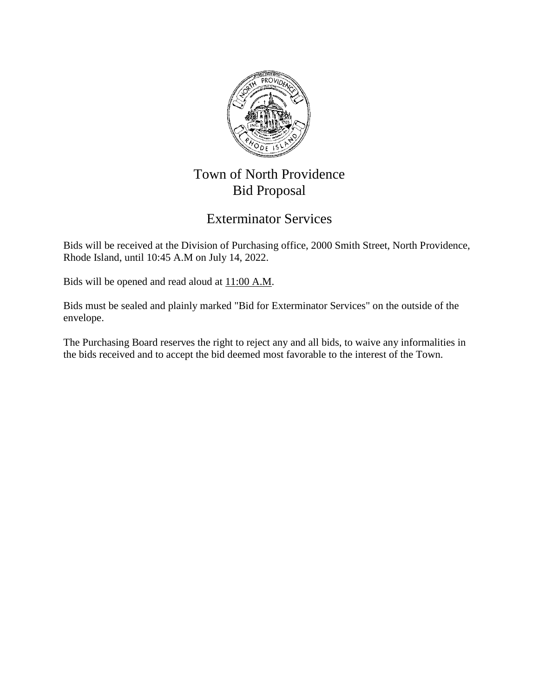

# Town of North Providence Bid Proposal

## Exterminator Services

Bids will be received at the Division of Purchasing office, 2000 Smith Street, North Providence, Rhode Island, until 10:45 A.M on July 14, 2022.

Bids will be opened and read aloud at  $11:00$  A.M.

Bids must be sealed and plainly marked "Bid for Exterminator Services" on the outside of the envelope.

The Purchasing Board reserves the right to reject any and all bids, to waive any informalities in the bids received and to accept the bid deemed most favorable to the interest of the Town.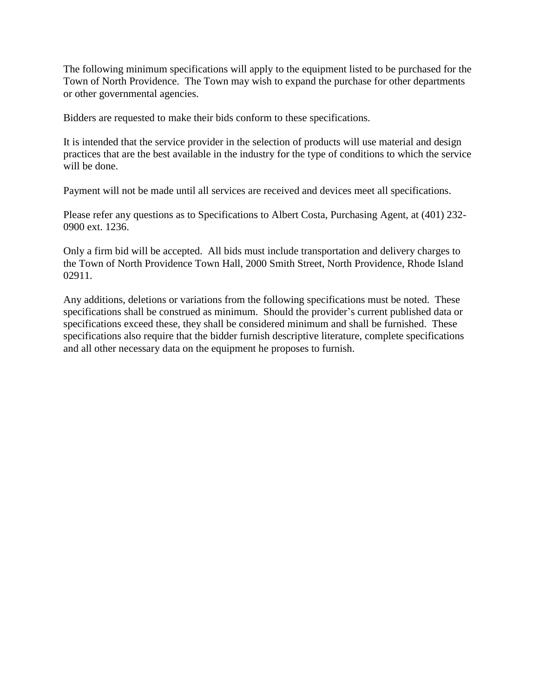The following minimum specifications will apply to the equipment listed to be purchased for the Town of North Providence. The Town may wish to expand the purchase for other departments or other governmental agencies.

Bidders are requested to make their bids conform to these specifications.

It is intended that the service provider in the selection of products will use material and design practices that are the best available in the industry for the type of conditions to which the service will be done.

Payment will not be made until all services are received and devices meet all specifications.

Please refer any questions as to Specifications to Albert Costa, Purchasing Agent, at (401) 232- 0900 ext. 1236.

Only a firm bid will be accepted. All bids must include transportation and delivery charges to the Town of North Providence Town Hall, 2000 Smith Street, North Providence, Rhode Island 02911.

Any additions, deletions or variations from the following specifications must be noted. These specifications shall be construed as minimum. Should the provider's current published data or specifications exceed these, they shall be considered minimum and shall be furnished. These specifications also require that the bidder furnish descriptive literature, complete specifications and all other necessary data on the equipment he proposes to furnish.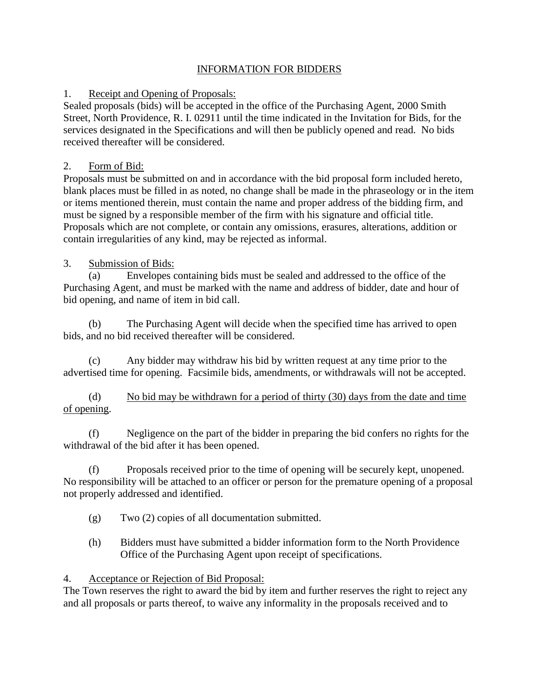#### INFORMATION FOR BIDDERS

#### 1. Receipt and Opening of Proposals:

Sealed proposals (bids) will be accepted in the office of the Purchasing Agent, 2000 Smith Street, North Providence, R. I. 02911 until the time indicated in the Invitation for Bids, for the services designated in the Specifications and will then be publicly opened and read. No bids received thereafter will be considered.

#### 2. Form of Bid:

Proposals must be submitted on and in accordance with the bid proposal form included hereto, blank places must be filled in as noted, no change shall be made in the phraseology or in the item or items mentioned therein, must contain the name and proper address of the bidding firm, and must be signed by a responsible member of the firm with his signature and official title. Proposals which are not complete, or contain any omissions, erasures, alterations, addition or contain irregularities of any kind, may be rejected as informal.

### 3. Submission of Bids:

(a) Envelopes containing bids must be sealed and addressed to the office of the Purchasing Agent, and must be marked with the name and address of bidder, date and hour of bid opening, and name of item in bid call.

(b) The Purchasing Agent will decide when the specified time has arrived to open bids, and no bid received thereafter will be considered.

(c) Any bidder may withdraw his bid by written request at any time prior to the advertised time for opening. Facsimile bids, amendments, or withdrawals will not be accepted.

(d) No bid may be withdrawn for a period of thirty (30) days from the date and time of opening.

(f) Negligence on the part of the bidder in preparing the bid confers no rights for the withdrawal of the bid after it has been opened.

(f) Proposals received prior to the time of opening will be securely kept, unopened. No responsibility will be attached to an officer or person for the premature opening of a proposal not properly addressed and identified.

- (g) Two (2) copies of all documentation submitted.
- (h) Bidders must have submitted a bidder information form to the North Providence Office of the Purchasing Agent upon receipt of specifications.

### 4. Acceptance or Rejection of Bid Proposal:

The Town reserves the right to award the bid by item and further reserves the right to reject any and all proposals or parts thereof, to waive any informality in the proposals received and to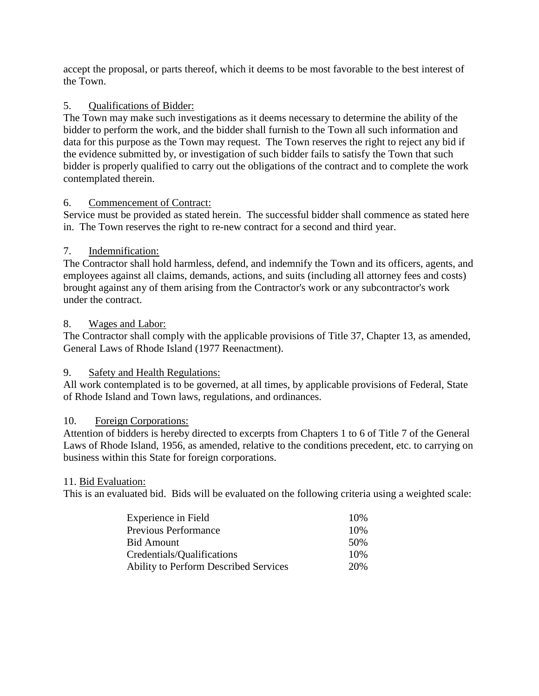accept the proposal, or parts thereof, which it deems to be most favorable to the best interest of the Town.

#### 5. Qualifications of Bidder:

The Town may make such investigations as it deems necessary to determine the ability of the bidder to perform the work, and the bidder shall furnish to the Town all such information and data for this purpose as the Town may request. The Town reserves the right to reject any bid if the evidence submitted by, or investigation of such bidder fails to satisfy the Town that such bidder is properly qualified to carry out the obligations of the contract and to complete the work contemplated therein.

#### 6. Commencement of Contract:

Service must be provided as stated herein. The successful bidder shall commence as stated here in. The Town reserves the right to re-new contract for a second and third year.

#### 7. Indemnification:

The Contractor shall hold harmless, defend, and indemnify the Town and its officers, agents, and employees against all claims, demands, actions, and suits (including all attorney fees and costs) brought against any of them arising from the Contractor's work or any subcontractor's work under the contract.

#### 8. Wages and Labor:

The Contractor shall comply with the applicable provisions of Title 37, Chapter 13, as amended, General Laws of Rhode Island (1977 Reenactment).

### 9. Safety and Health Regulations:

All work contemplated is to be governed, at all times, by applicable provisions of Federal, State of Rhode Island and Town laws, regulations, and ordinances.

#### 10. Foreign Corporations:

Attention of bidders is hereby directed to excerpts from Chapters 1 to 6 of Title 7 of the General Laws of Rhode Island, 1956, as amended, relative to the conditions precedent, etc. to carrying on business within this State for foreign corporations.

#### 11. Bid Evaluation:

This is an evaluated bid. Bids will be evaluated on the following criteria using a weighted scale:

| Experience in Field                          | 10% |
|----------------------------------------------|-----|
| <b>Previous Performance</b>                  | 10% |
| <b>Bid Amount</b>                            | 50% |
| Credentials/Qualifications                   | 10% |
| <b>Ability to Perform Described Services</b> | 20% |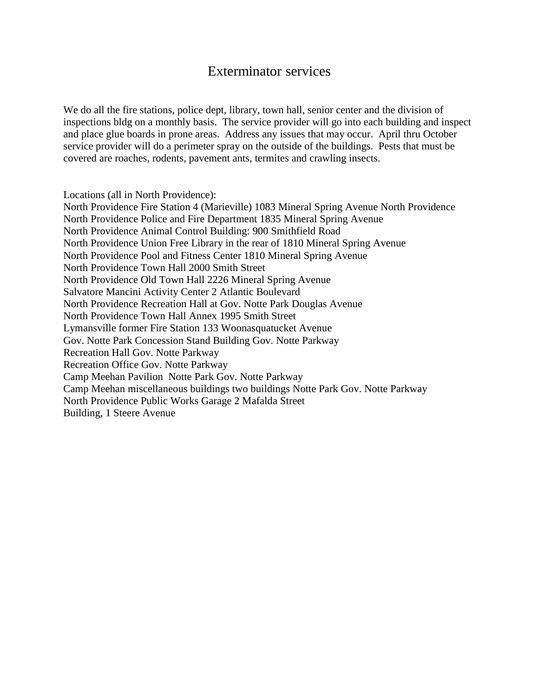### Exterminator services

We do all the fire stations, police dept, library, town hall, senior center and the division of inspections bldg on a monthly basis. The service provider will go into each building and inspect and place glue boards in prone areas. Address any issues that may occur. April thru October service provider will do a perimeter spray on the outside of the buildings. Pests that must be covered are roaches, rodents, pavement ants, termites and crawling insects.

Locations (all in North Providence):

North Providence Fire Station 4 (Marieville) 1083 Mineral Spring Avenue North Providence North Providence Police and Fire Department 1835 Mineral Spring Avenue North Providence Animal Control Building: 900 Smithfield Road North Providence Union Free Library in the rear of 1810 Mineral Spring Avenue North Providence Pool and Fitness Center 1810 Mineral Spring Avenue North Providence Town Hall 2000 Smith Street North Providence Old Town Hall 2226 Mineral Spring Avenue Salvatore Mancini Activity Center 2 Atlantic Boulevard North Providence Recreation Hall at Gov. Notte Park Douglas Avenue North Providence Town Hall Annex 1995 Smith Street Lymansville former Fire Station 133 Woonasquatucket Avenue Gov. Notte Park Concession Stand Building Gov. Notte Parkway Recreation Hall Gov. Notte Parkway Recreation Office Gov. Notte Parkway Camp Meehan Pavilion Notte Park Gov. Notte Parkway Camp Meehan miscellaneous buildings two buildings Notte Park Gov. Notte Parkway North Providence Public Works Garage 2 Mafalda Street Building, 1 Steere Avenue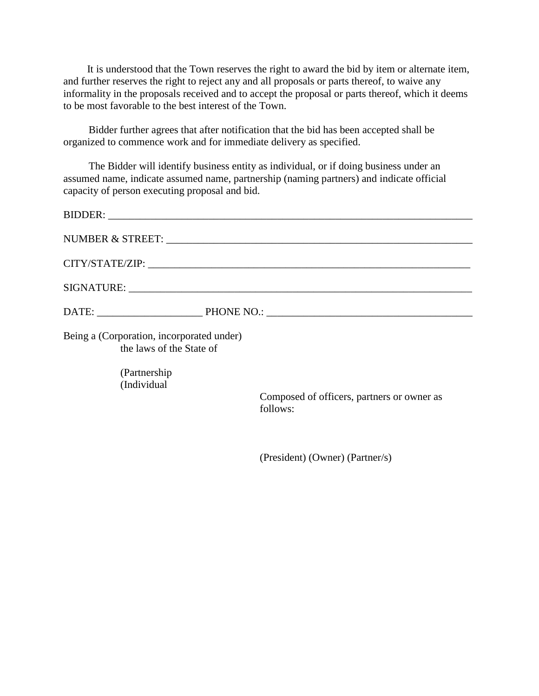It is understood that the Town reserves the right to award the bid by item or alternate item, and further reserves the right to reject any and all proposals or parts thereof, to waive any informality in the proposals received and to accept the proposal or parts thereof, which it deems to be most favorable to the best interest of the Town.

Bidder further agrees that after notification that the bid has been accepted shall be organized to commence work and for immediate delivery as specified.

The Bidder will identify business entity as individual, or if doing business under an assumed name, indicate assumed name, partnership (naming partners) and indicate official capacity of person executing proposal and bid.

| Being a (Corporation, incorporated under)<br>the laws of the State of |                                            |
|-----------------------------------------------------------------------|--------------------------------------------|
| (Partnership)<br>(Individual                                          | Composed of officers, partners or owner as |
|                                                                       | follows:                                   |

(President) (Owner) (Partner/s)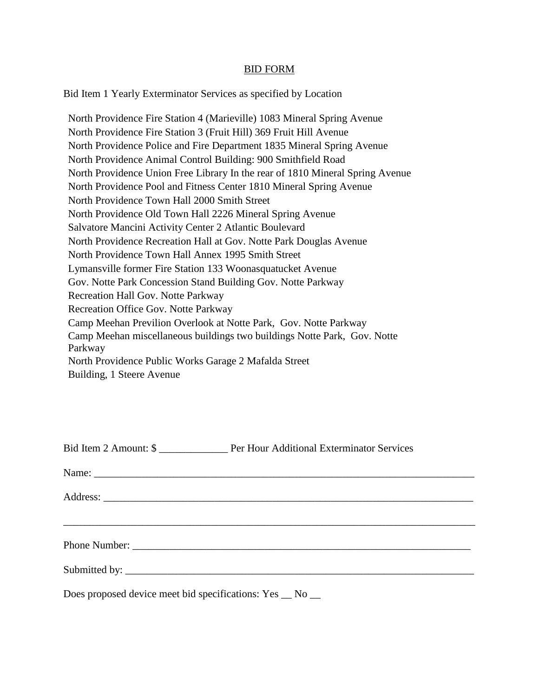#### BID FORM

Bid Item 1 Yearly Exterminator Services as specified by Location

North Providence Fire Station 4 (Marieville) 1083 Mineral Spring Avenue North Providence Fire Station 3 (Fruit Hill) 369 Fruit Hill Avenue North Providence Police and Fire Department 1835 Mineral Spring Avenue North Providence Animal Control Building: 900 Smithfield Road North Providence Union Free Library In the rear of 1810 Mineral Spring Avenue North Providence Pool and Fitness Center 1810 Mineral Spring Avenue North Providence Town Hall 2000 Smith Street North Providence Old Town Hall 2226 Mineral Spring Avenue Salvatore Mancini Activity Center 2 Atlantic Boulevard North Providence Recreation Hall at Gov. Notte Park Douglas Avenue North Providence Town Hall Annex 1995 Smith Street Lymansville former Fire Station 133 Woonasquatucket Avenue Gov. Notte Park Concession Stand Building Gov. Notte Parkway Recreation Hall Gov. Notte Parkway Recreation Office Gov. Notte Parkway Camp Meehan Previlion Overlook at Notte Park, Gov. Notte Parkway Camp Meehan miscellaneous buildings two buildings Notte Park, Gov. Notte Parkway North Providence Public Works Garage 2 Mafalda Street Building, 1 Steere Avenue

| Does proposed device meet bid specifications: Yes _ No _ |  |
|----------------------------------------------------------|--|